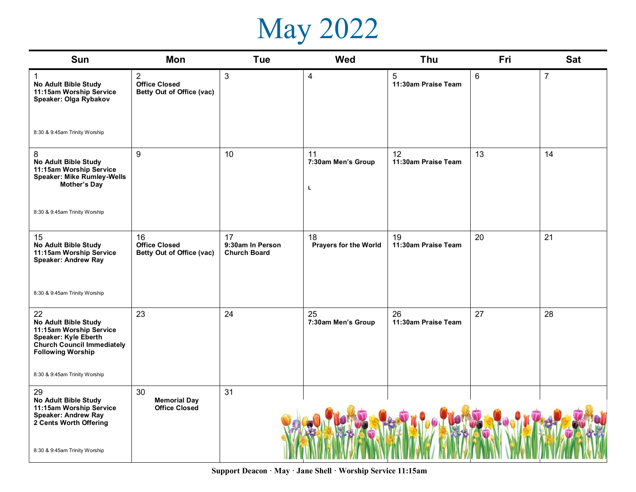## May 2022

| Sun                                                                                                                                            | Mon                                                                 | <b>Tue</b>                                    | <b>Wed</b>                    | Thu                                   | Fri | <b>Sat</b>     |
|------------------------------------------------------------------------------------------------------------------------------------------------|---------------------------------------------------------------------|-----------------------------------------------|-------------------------------|---------------------------------------|-----|----------------|
| $\mathbf{1}$<br>No Adult Bible Study<br>11:15am Worship Service<br>Speaker: Olga Rybakov                                                       | $\overline{2}$<br><b>Office Closed</b><br>Betty Out of Office (vac) | 3                                             | 4                             | $\overline{5}$<br>11:30am Praise Team | 6   | $\overline{7}$ |
| 8:30 & 9:45am Trinity Worship                                                                                                                  |                                                                     |                                               |                               |                                       |     |                |
| 8<br>No Adult Bible Study<br>11:15am Worship Service<br><b>Speaker: Mike Rumley-Wells</b><br>Mother's Day                                      | 9                                                                   | 10                                            | 11<br>7:30am Men's Group<br>L | 12<br>11:30am Praise Team             | 13  | 14             |
| 8:30 & 9:45am Trinity Worship                                                                                                                  |                                                                     |                                               |                               |                                       |     |                |
| 15<br>No Adult Bible Study<br>11:15am Worship Service<br>Speaker: Andrew Ray                                                                   | 16<br><b>Office Closed</b><br>Betty Out of Office (vac)             | 17<br>9:30am In Person<br><b>Church Board</b> | 18<br>Prayers for the World   | 19<br>11:30am Praise Team             | 20  | 21             |
| 8:30 & 9:45am Trinity Worship                                                                                                                  |                                                                     |                                               |                               |                                       |     |                |
| 22<br>No Adult Bible Study<br>11:15am Worship Service<br>Speaker: Kyle Eberth<br><b>Church Council Immediately</b><br><b>Following Worship</b> | 23                                                                  | 24                                            | 25<br>7:30am Men's Group      | 26<br>11:30am Praise Team             | 27  | 28             |
| 8:30 & 9:45am Trinity Worship                                                                                                                  |                                                                     |                                               |                               |                                       |     |                |
| 29<br>No Adult Bible Study<br>11:15am Worship Service<br>Speaker: Andrew Ray<br>2 Cents Worth Offering<br>8:30 & 9:45am Trinity Worship        | 30<br><b>Memorial Day</b><br><b>Office Closed</b>                   | 31                                            |                               |                                       |     |                |